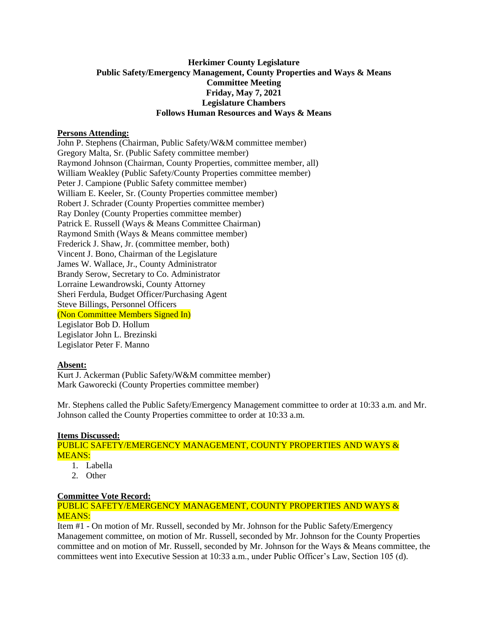## **Herkimer County Legislature Public Safety/Emergency Management, County Properties and Ways & Means Committee Meeting Friday, May 7, 2021 Legislature Chambers Follows Human Resources and Ways & Means**

### **Persons Attending:**

John P. Stephens (Chairman, Public Safety/W&M committee member) Gregory Malta, Sr. (Public Safety committee member) Raymond Johnson (Chairman, County Properties, committee member, all) William Weakley (Public Safety/County Properties committee member) Peter J. Campione (Public Safety committee member) William E. Keeler, Sr. (County Properties committee member) Robert J. Schrader (County Properties committee member) Ray Donley (County Properties committee member) Patrick E. Russell (Ways & Means Committee Chairman) Raymond Smith (Ways & Means committee member) Frederick J. Shaw, Jr. (committee member, both) Vincent J. Bono, Chairman of the Legislature James W. Wallace, Jr., County Administrator Brandy Serow, Secretary to Co. Administrator Lorraine Lewandrowski, County Attorney Sheri Ferdula, Budget Officer/Purchasing Agent Steve Billings, Personnel Officers (Non Committee Members Signed In) Legislator Bob D. Hollum Legislator John L. Brezinski Legislator Peter F. Manno

## **Absent:**

Kurt J. Ackerman (Public Safety/W&M committee member) Mark Gaworecki (County Properties committee member)

Mr. Stephens called the Public Safety/Emergency Management committee to order at 10:33 a.m. and Mr. Johnson called the County Properties committee to order at 10:33 a.m.

# **Items Discussed:**

PUBLIC SAFETY/EMERGENCY MANAGEMENT, COUNTY PROPERTIES AND WAYS & MEANS:

- 1. Labella
- 2. Other

### **Committee Vote Record:**

## PUBLIC SAFETY/EMERGENCY MANAGEMENT, COUNTY PROPERTIES AND WAYS & MEANS:

Item #1 - On motion of Mr. Russell, seconded by Mr. Johnson for the Public Safety/Emergency Management committee, on motion of Mr. Russell, seconded by Mr. Johnson for the County Properties committee and on motion of Mr. Russell, seconded by Mr. Johnson for the Ways & Means committee, the committees went into Executive Session at 10:33 a.m., under Public Officer's Law, Section 105 (d).